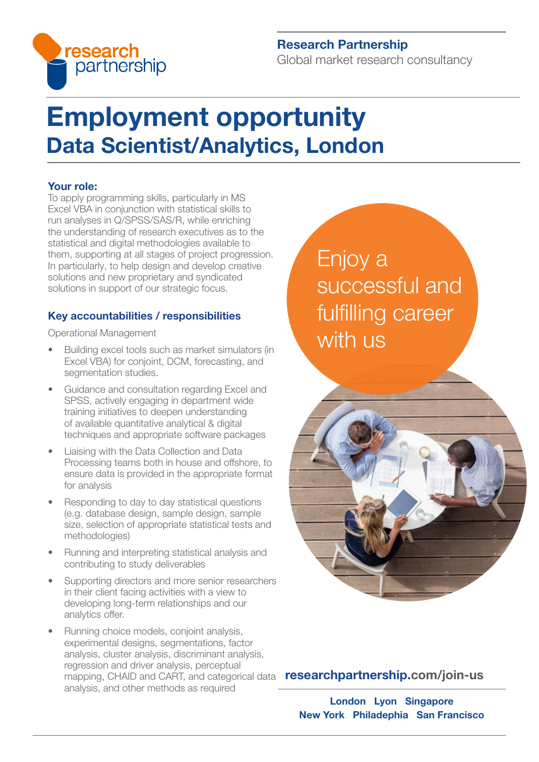

# Research Partnership

Global market research consultancy

# Employment opportunity Data Scientist/Analytics, London

### Your role:

To apply programming skills, particularly in MS Excel VBA in conjunction with statistical skills to run analyses in Q/SPSS/SAS/R, while enriching the understanding of research executives as to the statistical and digital methodologies available to them, supporting at all stages of project progression. In particularly, to help design and develop creative solutions and new proprietary and syndicated solutions in support of our strategic focus.

# Key accountabilities / responsibilities

Operational Management

- Building excel tools such as market simulators (in Excel VBA) for conjoint, DCM, forecasting, and segmentation studies.
- Guidance and consultation regarding Excel and SPSS, actively engaging in department wide training initiatives to deepen understanding of available quantitative analytical & digital techniques and appropriate software packages
- Liaising with the Data Collection and Data Processing teams both in house and offshore, to ensure data is provided in the appropriate format for analysis
- Responding to day to day statistical questions (e.g. database design, sample design, sample size, selection of appropriate statistical tests and methodologies)
- Running and interpreting statistical analysis and contributing to study deliverables
- Supporting directors and more senior researchers in their client facing activities with a view to developing long-term relationships and our analytics offer.
- Running choice models, conjoint analysis, experimental designs, segmentations, factor analysis, cluster analysis, discriminant analysis, regression and driver analysis, perceptual mapping, CHAID and CART, and categorical data **[researchpartnership.com/join-us](https://www.researchpartnership.com/join-us)** analysis, and other methods as required

Enjoy a successful and fulfilling career with us



London Lyon Singapore New York Philadephia San Francisco